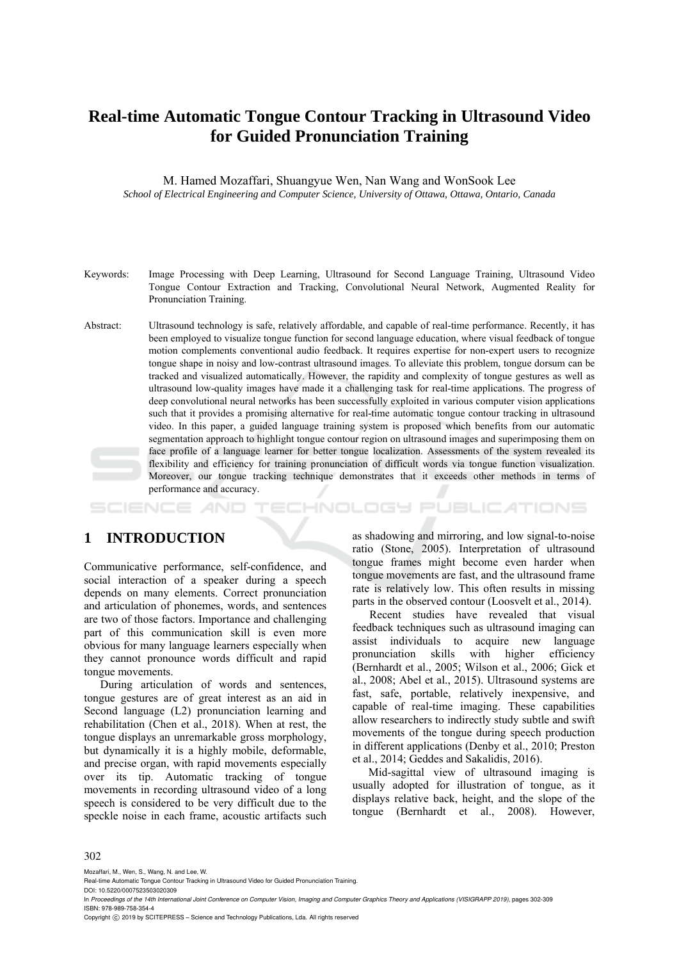# **Real-time Automatic Tongue Contour Tracking in Ultrasound Video for Guided Pronunciation Training**

M. Hamed Mozaffari, Shuangyue Wen, Nan Wang and WonSook Lee *School of Electrical Engineering and Computer Science, University of Ottawa, Ottawa, Ontario, Canada* 

- Keywords: Image Processing with Deep Learning, Ultrasound for Second Language Training, Ultrasound Video Tongue Contour Extraction and Tracking, Convolutional Neural Network, Augmented Reality for Pronunciation Training.
- Abstract: Ultrasound technology is safe, relatively affordable, and capable of real-time performance. Recently, it has been employed to visualize tongue function for second language education, where visual feedback of tongue motion complements conventional audio feedback. It requires expertise for non-expert users to recognize tongue shape in noisy and low-contrast ultrasound images. To alleviate this problem, tongue dorsum can be tracked and visualized automatically. However, the rapidity and complexity of tongue gestures as well as ultrasound low-quality images have made it a challenging task for real-time applications. The progress of deep convolutional neural networks has been successfully exploited in various computer vision applications such that it provides a promising alternative for real-time automatic tongue contour tracking in ultrasound video. In this paper, a guided language training system is proposed which benefits from our automatic segmentation approach to highlight tongue contour region on ultrasound images and superimposing them on face profile of a language learner for better tongue localization. Assessments of the system revealed its flexibility and efficiency for training pronunciation of difficult words via tongue function visualization. Moreover, our tongue tracking technique demonstrates that it exceeds other methods in terms of performance and accuracy.

HNOLOGY PUBLICATIONS

## **1 INTRODUCTION**

Communicative performance, self-confidence, and social interaction of a speaker during a speech depends on many elements. Correct pronunciation and articulation of phonemes, words, and sentences are two of those factors. Importance and challenging part of this communication skill is even more obvious for many language learners especially when they cannot pronounce words difficult and rapid tongue movements.

During articulation of words and sentences, tongue gestures are of great interest as an aid in Second language (L2) pronunciation learning and rehabilitation (Chen et al., 2018). When at rest, the tongue displays an unremarkable gross morphology, but dynamically it is a highly mobile, deformable, and precise organ, with rapid movements especially over its tip. Automatic tracking of tongue movements in recording ultrasound video of a long speech is considered to be very difficult due to the speckle noise in each frame, acoustic artifacts such

as shadowing and mirroring, and low signal-to-noise ratio (Stone, 2005). Interpretation of ultrasound tongue frames might become even harder when tongue movements are fast, and the ultrasound frame rate is relatively low. This often results in missing parts in the observed contour (Loosvelt et al., 2014).

Recent studies have revealed that visual feedback techniques such as ultrasound imaging can assist individuals to acquire new language<br>pronunciation skills with higher efficiency pronunciation skills with higher (Bernhardt et al., 2005; Wilson et al., 2006; Gick et al., 2008; Abel et al., 2015). Ultrasound systems are fast, safe, portable, relatively inexpensive, and capable of real-time imaging. These capabilities allow researchers to indirectly study subtle and swift movements of the tongue during speech production in different applications (Denby et al., 2010; Preston et al., 2014; Geddes and Sakalidis, 2016).

Mid-sagittal view of ultrasound imaging is usually adopted for illustration of tongue, as it displays relative back, height, and the slope of the tongue (Bernhardt et al., 2008). However,

#### 302

Mozaffari, M., Wen, S., Wang, N. and Lee, W.

DOI: 10.5220/0007523503020309

In *Proceedings of the 14th International Joint Conference on Computer Vision, Imaging and Computer Graphics Theory and Applications (VISIGRAPP 2019)*, pages 302-309 ISBN: 978-989-758-354-4

Copyright © 2019 by SCITEPRESS - Science and Technology Publications, Lda. All rights reserved

Real-time Automatic Tongue Contour Tracking in Ultrasound Video for Guided Pronunciation Training.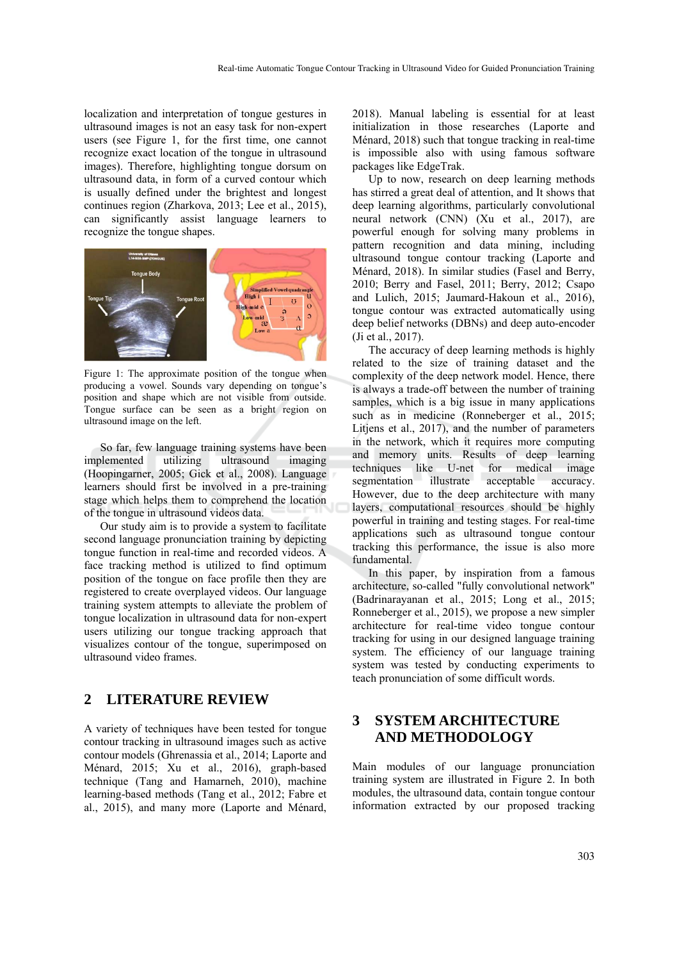localization and interpretation of tongue gestures in ultrasound images is not an easy task for non-expert users (see Figure 1, for the first time, one cannot recognize exact location of the tongue in ultrasound images). Therefore, highlighting tongue dorsum on ultrasound data, in form of a curved contour which is usually defined under the brightest and longest continues region (Zharkova, 2013; Lee et al., 2015), can significantly assist language learners to recognize the tongue shapes.



Figure 1: The approximate position of the tongue when producing a vowel. Sounds vary depending on tongue's position and shape which are not visible from outside. Tongue surface can be seen as a bright region on ultrasound image on the left.

So far, few language training systems have been implemented utilizing ultrasound imaging (Hoopingarner, 2005; Gick et al., 2008). Language learners should first be involved in a pre-training stage which helps them to comprehend the location of the tongue in ultrasound videos data.

Our study aim is to provide a system to facilitate second language pronunciation training by depicting tongue function in real-time and recorded videos. A face tracking method is utilized to find optimum position of the tongue on face profile then they are registered to create overplayed videos. Our language training system attempts to alleviate the problem of tongue localization in ultrasound data for non-expert users utilizing our tongue tracking approach that visualizes contour of the tongue, superimposed on ultrasound video frames.

## **2 LITERATURE REVIEW**

A variety of techniques have been tested for tongue contour tracking in ultrasound images such as active contour models (Ghrenassia et al., 2014; Laporte and Ménard, 2015; Xu et al., 2016), graph-based technique (Tang and Hamarneh, 2010), machine learning-based methods (Tang et al., 2012; Fabre et al., 2015), and many more (Laporte and Ménard,

2018). Manual labeling is essential for at least initialization in those researches (Laporte and Ménard, 2018) such that tongue tracking in real-time is impossible also with using famous software packages like EdgeTrak.

Up to now, research on deep learning methods has stirred a great deal of attention, and It shows that deep learning algorithms, particularly convolutional neural network (CNN) (Xu et al., 2017), are powerful enough for solving many problems in pattern recognition and data mining, including ultrasound tongue contour tracking (Laporte and Ménard, 2018). In similar studies (Fasel and Berry, 2010; Berry and Fasel, 2011; Berry, 2012; Csapo and Lulich, 2015; Jaumard-Hakoun et al., 2016), tongue contour was extracted automatically using deep belief networks (DBNs) and deep auto-encoder (Ji et al., 2017).

The accuracy of deep learning methods is highly related to the size of training dataset and the complexity of the deep network model. Hence, there is always a trade-off between the number of training samples, which is a big issue in many applications such as in medicine (Ronneberger et al., 2015; Litjens et al., 2017), and the number of parameters in the network, which it requires more computing and memory units. Results of deep learning techniques like U-net for medical image segmentation illustrate acceptable accuracy. However, due to the deep architecture with many layers, computational resources should be highly powerful in training and testing stages. For real-time applications such as ultrasound tongue contour tracking this performance, the issue is also more fundamental.

In this paper, by inspiration from a famous architecture, so-called "fully convolutional network" (Badrinarayanan et al., 2015; Long et al., 2015; Ronneberger et al., 2015), we propose a new simpler architecture for real-time video tongue contour tracking for using in our designed language training system. The efficiency of our language training system was tested by conducting experiments to teach pronunciation of some difficult words.

## **3 SYSTEM ARCHITECTURE AND METHODOLOGY**

Main modules of our language pronunciation training system are illustrated in Figure 2. In both modules, the ultrasound data, contain tongue contour information extracted by our proposed tracking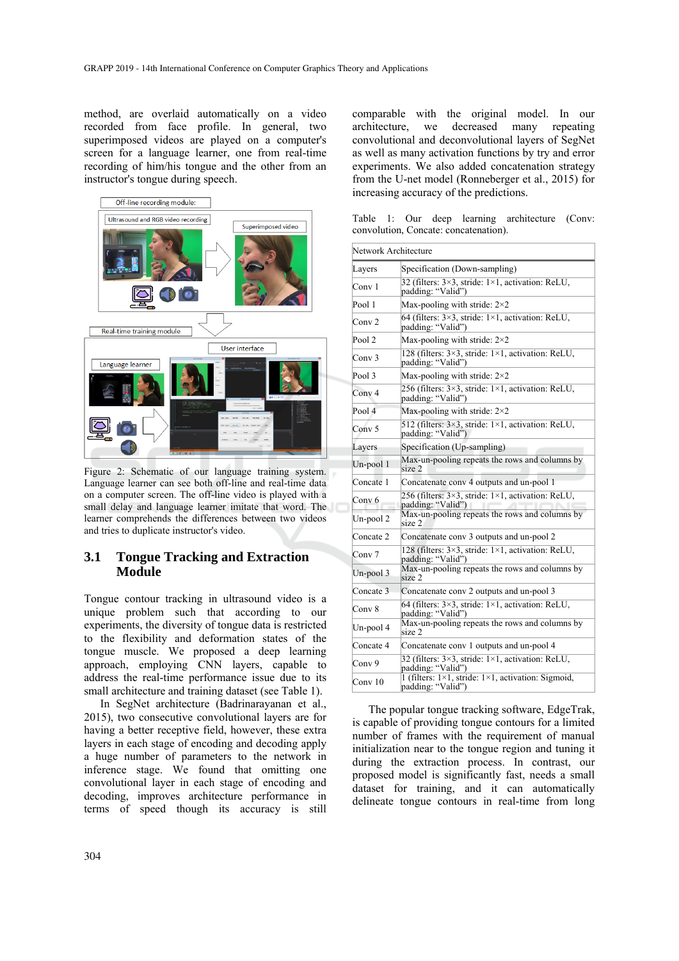method, are overlaid automatically on a video recorded from face profile. In general, two superimposed videos are played on a computer's screen for a language learner, one from real-time recording of him/his tongue and the other from an instructor's tongue during speech.



Figure 2: Schematic of our language training system. Language learner can see both off-line and real-time data on a computer screen. The off-line video is played with a small delay and language learner imitate that word. The learner comprehends the differences between two videos and tries to duplicate instructor's video.

#### **3.1 Tongue Tracking and Extraction Module**

Tongue contour tracking in ultrasound video is a unique problem such that according to our experiments, the diversity of tongue data is restricted to the flexibility and deformation states of the tongue muscle. We proposed a deep learning approach, employing CNN layers, capable to address the real-time performance issue due to its small architecture and training dataset (see Table 1).

In SegNet architecture (Badrinarayanan et al., 2015), two consecutive convolutional layers are for having a better receptive field, however, these extra layers in each stage of encoding and decoding apply a huge number of parameters to the network in inference stage. We found that omitting one convolutional layer in each stage of encoding and decoding, improves architecture performance in terms of speed though its accuracy is still

comparable with the original model. In our architecture, we decreased many repeating convolutional and deconvolutional layers of SegNet as well as many activation functions by try and error experiments. We also added concatenation strategy from the U-net model (Ronneberger et al., 2015) for increasing accuracy of the predictions.

Table 1: Our deep learning architecture (Conv: convolution, Concate: concatenation).

| Network Architecture |                                                                                         |
|----------------------|-----------------------------------------------------------------------------------------|
| Layers               | Specification (Down-sampling)                                                           |
| Conv 1               | 32 (filters: 3×3, stride: 1×1, activation: ReLU,<br>padding: "Valid")                   |
| Pool 1               | Max-pooling with stride: $2\times 2$                                                    |
| Conv <sub>2</sub>    | 64 (filters: 3×3, stride: 1×1, activation: ReLU,<br>padding: "Valid")                   |
| Pool <sub>2</sub>    | Max-pooling with stride: $2\times 2$                                                    |
| Conv <sub>3</sub>    | 128 (filters: $3\times3$ , stride: $1\times1$ , activation: ReLU,<br>padding: "Valid")  |
| Pool 3               | Max-pooling with stride: $2\times 2$                                                    |
| Conv <sub>4</sub>    | 256 (filters: 3×3, stride: 1×1, activation: ReLU,<br>padding: "Valid")                  |
| Pool 4               | Max-pooling with stride: $2\times2$                                                     |
| Conv <sub>5</sub>    | 512 (filters: 3×3, stride: 1×1, activation: ReLU,<br>padding: "Valid")                  |
| Layers               | Specification (Up-sampling)                                                             |
| $Un-pool1$           | Max-un-pooling repeats the rows and columns by<br>size 2                                |
| Concate 1            | Concatenate conv 4 outputs and un-pool 1                                                |
| Cony 6               | 256 (filters: 3×3, stride: 1×1, activation: ReLU,<br>padding: "Valid")                  |
| Un-pool 2            | Max-un-pooling repeats the rows and columns by<br>size 2                                |
| Concate 2            | Concatenate conv 3 outputs and un-pool 2                                                |
| Conv 7               | 128 (filters: $3\times3$ , stride: $1\times1$ , activation: ReLU,<br>padding: "Valid")  |
| Un-pool 3            | Max-un-pooling repeats the rows and columns by<br>size 2                                |
| Concate 3            | Concatenate conv 2 outputs and un-pool 3                                                |
| Conv 8               | 64 (filters: 3×3, stride: 1×1, activation: ReLU,<br>padding: "Valid")                   |
| Un-pool 4            | Max-un-pooling repeats the rows and columns by<br>size 2                                |
| Concate 4            | Concatenate conv 1 outputs and un-pool 4                                                |
| Conv 9               | 32 (filters: 3×3, stride: 1×1, activation: ReLU,<br>padding: "Valid")                   |
| Conv 10              | 1 (filters: $1\times1$ , stride: $1\times1$ , activation: Sigmoid,<br>padding: "Valid") |

The popular tongue tracking software, EdgeTrak, is capable of providing tongue contours for a limited number of frames with the requirement of manual initialization near to the tongue region and tuning it during the extraction process. In contrast, our proposed model is significantly fast, needs a small dataset for training, and it can automatically delineate tongue contours in real-time from long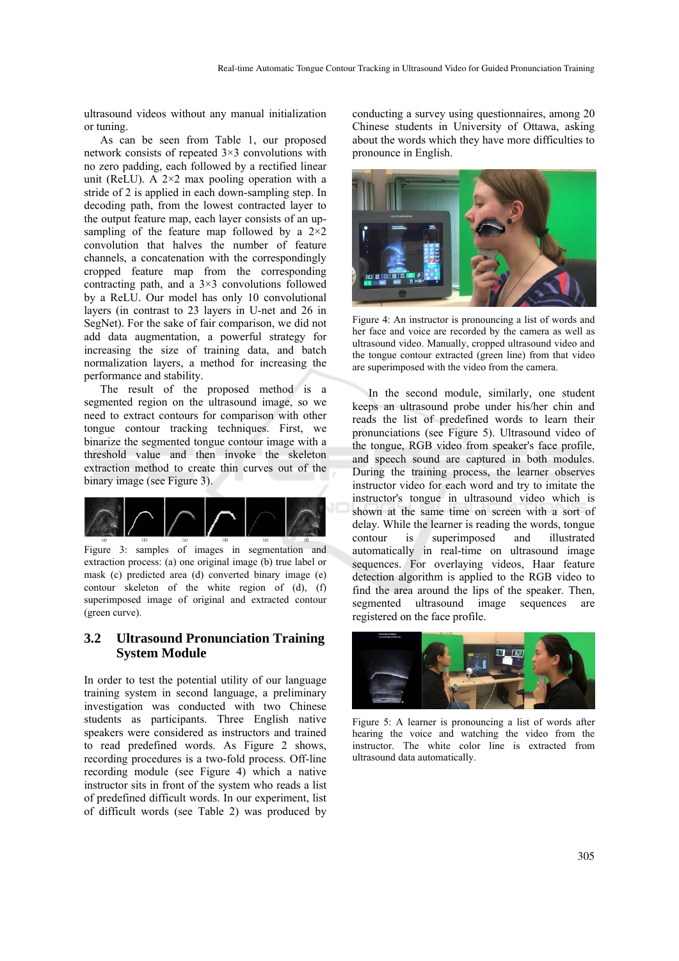ultrasound videos without any manual initialization or tuning.

As can be seen from Table 1, our proposed network consists of repeated 3×3 convolutions with no zero padding, each followed by a rectified linear unit (ReLU). A  $2\times2$  max pooling operation with a stride of 2 is applied in each down-sampling step. In decoding path, from the lowest contracted layer to the output feature map, each layer consists of an upsampling of the feature map followed by a  $2\times 2$ convolution that halves the number of feature channels, a concatenation with the correspondingly cropped feature map from the corresponding contracting path, and a  $3\times3$  convolutions followed by a ReLU. Our model has only 10 convolutional layers (in contrast to 23 layers in U-net and 26 in SegNet). For the sake of fair comparison, we did not add data augmentation, a powerful strategy for increasing the size of training data, and batch normalization layers, a method for increasing the performance and stability.

The result of the proposed method is a segmented region on the ultrasound image, so we need to extract contours for comparison with other tongue contour tracking techniques. First, we binarize the segmented tongue contour image with a threshold value and then invoke the skeleton extraction method to create thin curves out of the binary image (see Figure 3).



Figure 3: samples of images in segmentation and extraction process: (a) one original image (b) true label or mask (c) predicted area (d) converted binary image (e) contour skeleton of the white region of (d), (f) superimposed image of original and extracted contour (green curve).

#### **3.2 Ultrasound Pronunciation Training System Module**

In order to test the potential utility of our language training system in second language, a preliminary investigation was conducted with two Chinese students as participants. Three English native speakers were considered as instructors and trained to read predefined words. As Figure 2 shows, recording procedures is a two-fold process. Off-line recording module (see Figure 4) which a native instructor sits in front of the system who reads a list of predefined difficult words. In our experiment, list of difficult words (see Table 2) was produced by conducting a survey using questionnaires, among 20 Chinese students in University of Ottawa, asking about the words which they have more difficulties to pronounce in English.



Figure 4: An instructor is pronouncing a list of words and her face and voice are recorded by the camera as well as ultrasound video. Manually, cropped ultrasound video and the tongue contour extracted (green line) from that video are superimposed with the video from the camera.

In the second module, similarly, one student keeps an ultrasound probe under his/her chin and reads the list of predefined words to learn their pronunciations (see Figure 5). Ultrasound video of the tongue, RGB video from speaker's face profile, and speech sound are captured in both modules. During the training process, the learner observes instructor video for each word and try to imitate the instructor's tongue in ultrasound video which is shown at the same time on screen with a sort of delay. While the learner is reading the words, tongue contour is superimposed and illustrated automatically in real-time on ultrasound image sequences. For overlaying videos, Haar feature detection algorithm is applied to the RGB video to find the area around the lips of the speaker. Then, segmented ultrasound image sequences are registered on the face profile.



Figure 5: A learner is pronouncing a list of words after hearing the voice and watching the video from the instructor. The white color line is extracted from ultrasound data automatically.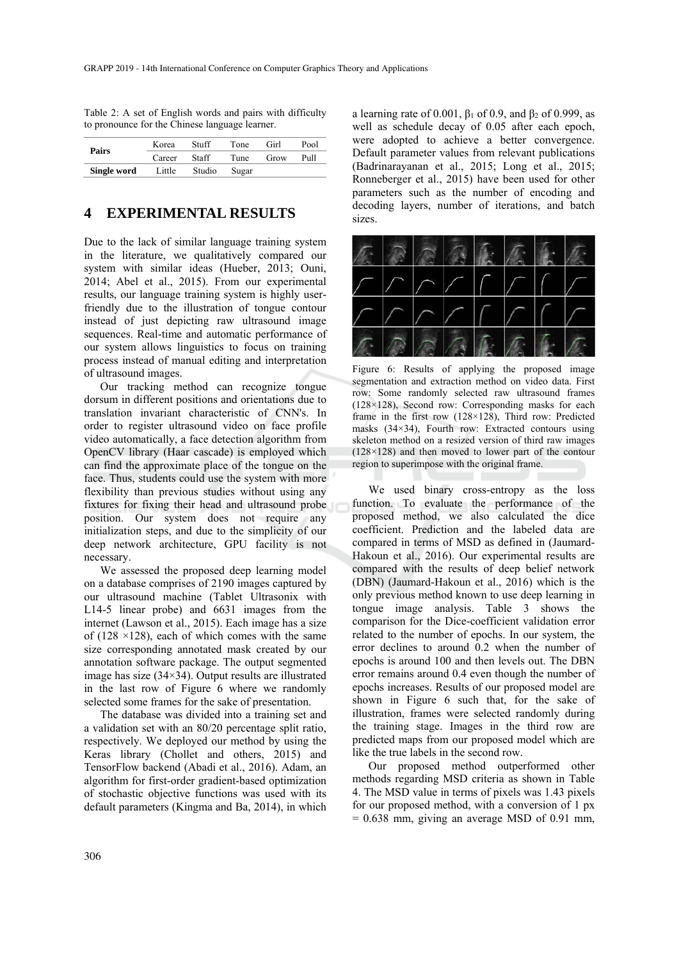|             | Korea  | Stuff  | Tone  | Girl | Pool |
|-------------|--------|--------|-------|------|------|
| Pairs       | Career | Staff  | Tune  | Grow | Pull |
| Single word | Little | Studio | Sugar |      |      |

Table 2: A set of English words and pairs with difficulty to pronounce for the Chinese language learner.

### **4 EXPERIMENTAL RESULTS**

Due to the lack of similar language training system in the literature, we qualitatively compared our system with similar ideas (Hueber, 2013; Ouni, 2014; Abel et al., 2015). From our experimental results, our language training system is highly userfriendly due to the illustration of tongue contour instead of just depicting raw ultrasound image sequences. Real-time and automatic performance of our system allows linguistics to focus on training process instead of manual editing and interpretation of ultrasound images.

Our tracking method can recognize tongue dorsum in different positions and orientations due to translation invariant characteristic of CNN's. In order to register ultrasound video on face profile video automatically, a face detection algorithm from OpenCV library (Haar cascade) is employed which can find the approximate place of the tongue on the face. Thus, students could use the system with more flexibility than previous studies without using any fixtures for fixing their head and ultrasound probe position. Our system does not require any initialization steps, and due to the simplicity of our deep network architecture, GPU facility is not necessary.

We assessed the proposed deep learning model on a database comprises of 2190 images captured by our ultrasound machine (Tablet Ultrasonix with L14-5 linear probe) and 6631 images from the internet (Lawson et al., 2015). Each image has a size of (128  $\times$ 128), each of which comes with the same size corresponding annotated mask created by our annotation software package. The output segmented image has size (34×34). Output results are illustrated in the last row of Figure 6 where we randomly selected some frames for the sake of presentation.

The database was divided into a training set and a validation set with an 80/20 percentage split ratio, respectively. We deployed our method by using the Keras library (Chollet and others, 2015) and TensorFlow backend (Abadi et al., 2016). Adam, an algorithm for first-order gradient-based optimization of stochastic objective functions was used with its default parameters (Kingma and Ba, 2014), in which

a learning rate of 0.001,  $β_1$  of 0.9, and  $β_2$  of 0.999, as well as schedule decay of 0.05 after each epoch, were adopted to achieve a better convergence. Default parameter values from relevant publications (Badrinarayanan et al., 2015; Long et al., 2015; Ronneberger et al., 2015) have been used for other parameters such as the number of encoding and decoding layers, number of iterations, and batch sizes.



Figure 6: Results of applying the proposed image segmentation and extraction method on video data. First row: Some randomly selected raw ultrasound frames (128×128), Second row: Corresponding masks for each frame in the first row (128×128), Third row: Predicted masks (34×34), Fourth row: Extracted contours using skeleton method on a resized version of third raw images (128×128) and then moved to lower part of the contour region to superimpose with the original frame.

We used binary cross-entropy as the loss function. To evaluate the performance of the proposed method, we also calculated the dice coefficient. Prediction and the labeled data are compared in terms of MSD as defined in (Jaumard-Hakoun et al., 2016). Our experimental results are compared with the results of deep belief network (DBN) (Jaumard-Hakoun et al., 2016) which is the only previous method known to use deep learning in tongue image analysis. Table 3 shows the comparison for the Dice-coefficient validation error related to the number of epochs. In our system, the error declines to around 0.2 when the number of epochs is around 100 and then levels out. The DBN error remains around 0.4 even though the number of epochs increases. Results of our proposed model are shown in Figure 6 such that, for the sake of illustration, frames were selected randomly during the training stage. Images in the third row are predicted maps from our proposed model which are like the true labels in the second row.

Our proposed method outperformed other methods regarding MSD criteria as shown in Table 4. The MSD value in terms of pixels was 1.43 pixels for our proposed method, with a conversion of 1 px  $= 0.638$  mm, giving an average MSD of 0.91 mm,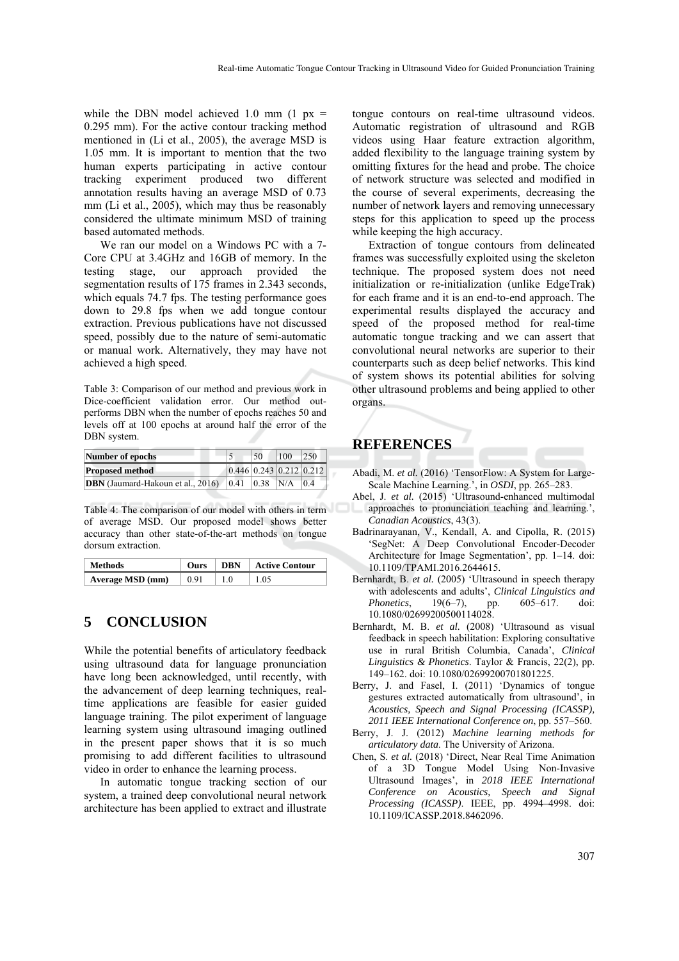while the DBN model achieved 1.0 mm  $(1 \text{ px} =$ 0.295 mm). For the active contour tracking method mentioned in (Li et al., 2005), the average MSD is 1.05 mm. It is important to mention that the two human experts participating in active contour tracking experiment produced two different annotation results having an average MSD of 0.73 mm (Li et al., 2005), which may thus be reasonably considered the ultimate minimum MSD of training based automated methods.

We ran our model on a Windows PC with a 7- Core CPU at 3.4GHz and 16GB of memory. In the testing stage, our approach provided the segmentation results of 175 frames in 2.343 seconds, which equals 74.7 fps. The testing performance goes down to 29.8 fps when we add tongue contour extraction. Previous publications have not discussed speed, possibly due to the nature of semi-automatic or manual work. Alternatively, they may have not achieved a high speed.

Table 3: Comparison of our method and previous work in Dice-coefficient validation error. Our method outperforms DBN when the number of epochs reaches 50 and levels off at 100 epochs at around half the error of the DBN system.

| Number of epochs                                               | 50                      | 100 | <b>250</b> |
|----------------------------------------------------------------|-------------------------|-----|------------|
| <b>Proposed method</b>                                         | 0.446 0.243 0.212 0.212 |     |            |
| <b>DBN</b> (Jaumard-Hakoun et al., 2016) $ 0.41 $ $ 0.38 $ N/A |                         |     | 0.4        |

Table 4: The comparison of our model with others in term of average MSD. Our proposed model shows better accuracy than other state-of-the-art methods on tongue dorsum extraction.

| <b>Methods</b>   | <b>Ours</b> | $\perp$ DRN | <b>Active Contour</b> |
|------------------|-------------|-------------|-----------------------|
| Average MSD (mm) | 0.91        | 1.0         | 1.05                  |

## **5 CONCLUSION**

While the potential benefits of articulatory feedback using ultrasound data for language pronunciation have long been acknowledged, until recently, with the advancement of deep learning techniques, realtime applications are feasible for easier guided language training. The pilot experiment of language learning system using ultrasound imaging outlined in the present paper shows that it is so much promising to add different facilities to ultrasound video in order to enhance the learning process.

In automatic tongue tracking section of our system, a trained deep convolutional neural network architecture has been applied to extract and illustrate tongue contours on real-time ultrasound videos. Automatic registration of ultrasound and RGB videos using Haar feature extraction algorithm, added flexibility to the language training system by omitting fixtures for the head and probe. The choice of network structure was selected and modified in the course of several experiments, decreasing the number of network layers and removing unnecessary steps for this application to speed up the process while keeping the high accuracy.

Extraction of tongue contours from delineated frames was successfully exploited using the skeleton technique. The proposed system does not need initialization or re-initialization (unlike EdgeTrak) for each frame and it is an end-to-end approach. The experimental results displayed the accuracy and speed of the proposed method for real-time automatic tongue tracking and we can assert that convolutional neural networks are superior to their counterparts such as deep belief networks. This kind of system shows its potential abilities for solving other ultrasound problems and being applied to other organs.

## **REFERENCES**

- Abadi, M. et al. (2016) 'TensorFlow: A System for Large-Scale Machine Learning.', in *OSDI*, pp. 265–283.
- Abel, J. *et al.* (2015) 'Ultrasound-enhanced multimodal approaches to pronunciation teaching and learning.', *Canadian Acoustics*, 43(3).
- Badrinarayanan, V., Kendall, A. and Cipolla, R. (2015) 'SegNet: A Deep Convolutional Encoder-Decoder Architecture for Image Segmentation', pp. 1–14. doi: 10.1109/TPAMI.2016.2644615.
- Bernhardt, B. *et al.* (2005) 'Ultrasound in speech therapy with adolescents and adults', *Clinical Linguistics and Phonetics*, 19(6–7), pp. 605–617. doi: 10.1080/02699200500114028.
- Bernhardt, M. B. *et al.* (2008) 'Ultrasound as visual feedback in speech habilitation: Exploring consultative use in rural British Columbia, Canada', *Clinical Linguistics & Phonetics*. Taylor & Francis, 22(2), pp. 149–162. doi: 10.1080/02699200701801225.
- Berry, J. and Fasel, I. (2011) 'Dynamics of tongue gestures extracted automatically from ultrasound', in *Acoustics, Speech and Signal Processing (ICASSP), 2011 IEEE International Conference on*, pp. 557–560.
- Berry, J. J. (2012) *Machine learning methods for articulatory data*. The University of Arizona.
- Chen, S. *et al.* (2018) 'Direct, Near Real Time Animation of a 3D Tongue Model Using Non-Invasive Ultrasound Images', in *2018 IEEE International Conference on Acoustics, Speech and Signal Processing (ICASSP)*. IEEE, pp. 4994–4998. doi: 10.1109/ICASSP.2018.8462096.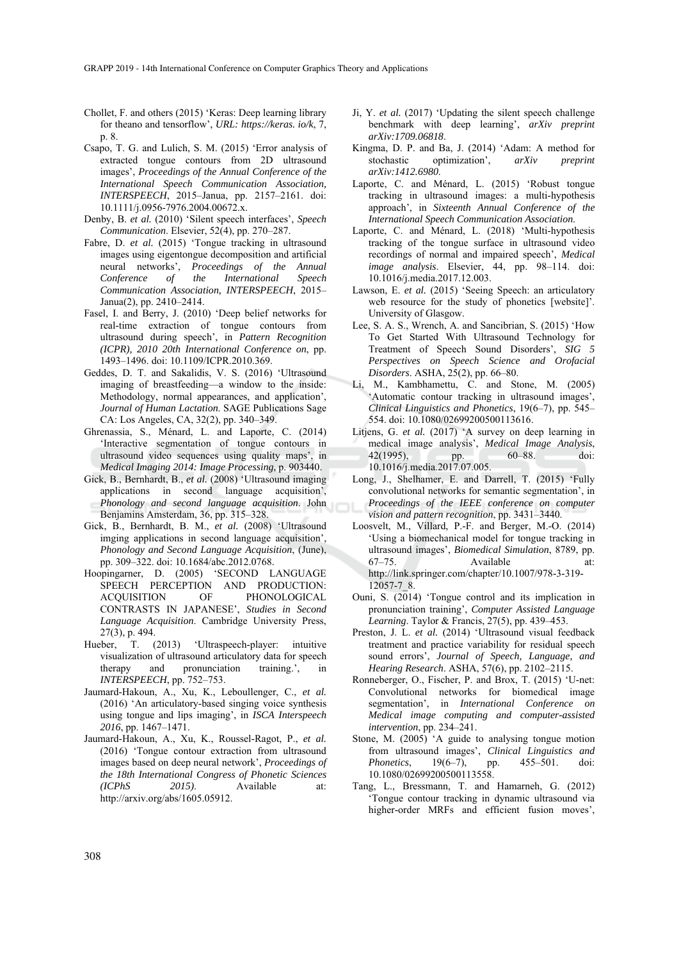- Chollet, F. and others (2015) 'Keras: Deep learning library for theano and tensorflow', *URL: https://keras. io/k*, 7, p. 8.
- Csapo, T. G. and Lulich, S. M. (2015) 'Error analysis of extracted tongue contours from 2D ultrasound images', *Proceedings of the Annual Conference of the International Speech Communication Association, INTERSPEECH*, 2015–Janua, pp. 2157–2161. doi: 10.1111/j.0956-7976.2004.00672.x.
- Denby, B. *et al.* (2010) 'Silent speech interfaces', *Speech Communication*. Elsevier, 52(4), pp. 270–287.
- Fabre, D. *et al.* (2015) 'Tongue tracking in ultrasound images using eigentongue decomposition and artificial neural networks', *Proceedings of the Annual Conference of the International Speech Communication Association, INTERSPEECH*, 2015– Janua(2), pp. 2410–2414.
- Fasel, I. and Berry, J. (2010) 'Deep belief networks for real-time extraction of tongue contours from ultrasound during speech', in *Pattern Recognition (ICPR), 2010 20th International Conference on*, pp. 1493–1496. doi: 10.1109/ICPR.2010.369.
- Geddes, D. T. and Sakalidis, V. S. (2016) 'Ultrasound imaging of breastfeeding—a window to the inside: Methodology, normal appearances, and application', *Journal of Human Lactation*. SAGE Publications Sage CA: Los Angeles, CA, 32(2), pp. 340–349.
- Ghrenassia, S., Ménard, L. and Laporte, C. (2014) 'Interactive segmentation of tongue contours in ultrasound video sequences using quality maps', in *Medical Imaging 2014: Image Processing*, p. 903440.
- Gick, B., Bernhardt, B., *et al.* (2008) 'Ultrasound imaging applications in second language acquisition', *Phonology and second language acquisition*. John Benjamins Amsterdam, 36, pp. 315–328.
- Gick, B., Bernhardt, B. M., *et al.* (2008) 'Ultrasound imging applications in second language acquisition', *Phonology and Second Language Acquisition*, (June), pp. 309–322. doi: 10.1684/abc.2012.0768.
- Hoopingarner, D. (2005) 'SECOND LANGUAGE SPEECH PERCEPTION AND PRODUCTION: ACQUISITION OF PHONOLOGICAL CONTRASTS IN JAPANESE', *Studies in Second Language Acquisition*. Cambridge University Press, 27(3), p. 494.
- Hueber, T. (2013) 'Ultraspeech-player: intuitive visualization of ultrasound articulatory data for speech therapy and pronunciation training.', in *INTERSPEECH*, pp. 752–753.
- Jaumard-Hakoun, A., Xu, K., Leboullenger, C., *et al.* (2016) 'An articulatory-based singing voice synthesis using tongue and lips imaging', in *ISCA Interspeech 2016*, pp. 1467–1471.
- Jaumard-Hakoun, A., Xu, K., Roussel-Ragot, P., *et al.* (2016) 'Tongue contour extraction from ultrasound images based on deep neural network', *Proceedings of the 18th International Congress of Phonetic Sciences (ICPhS 2015)*. Available at: http://arxiv.org/abs/1605.05912.
- Ji, Y. *et al.* (2017) 'Updating the silent speech challenge benchmark with deep learning', *arXiv preprint arXiv:1709.06818*.
- Kingma, D. P. and Ba, J. (2014) 'Adam: A method for stochastic optimization', *arXiv preprint arXiv:1412.6980*.
- Laporte, C. and Ménard, L. (2015) 'Robust tongue tracking in ultrasound images: a multi-hypothesis approach', in *Sixteenth Annual Conference of the International Speech Communication Association*.
- Laporte, C. and Ménard, L. (2018) 'Multi-hypothesis tracking of the tongue surface in ultrasound video recordings of normal and impaired speech', *Medical image analysis*. Elsevier, 44, pp. 98–114. doi: 10.1016/j.media.2017.12.003.
- Lawson, E. *et al.* (2015) 'Seeing Speech: an articulatory web resource for the study of phonetics [website]'. University of Glasgow.
- Lee, S. A. S., Wrench, A. and Sancibrian, S. (2015) 'How To Get Started With Ultrasound Technology for Treatment of Speech Sound Disorders', *SIG 5 Perspectives on Speech Science and Orofacial Disorders*. ASHA, 25(2), pp. 66–80.
- Li, M., Kambhamettu, C. and Stone, M. (2005) 'Automatic contour tracking in ultrasound images', *Clinical Linguistics and Phonetics*, 19(6–7), pp. 545– 554. doi: 10.1080/02699200500113616.
- Litjens, G. *et al.* (2017) 'A survey on deep learning in medical image analysis', *Medical Image Analysis*, 42(1995), pp. 60–88. doi: 10.1016/j.media.2017.07.005.
- Long, J., Shelhamer, E. and Darrell, T. (2015) 'Fully convolutional networks for semantic segmentation', in *Proceedings of the IEEE conference on computer vision and pattern recognition*, pp. 3431–3440.
- Loosvelt, M., Villard, P.-F. and Berger, M.-O. (2014) 'Using a biomechanical model for tongue tracking in ultrasound images', *Biomedical Simulation*, 8789, pp. 67–75. Available at: http://link.springer.com/chapter/10.1007/978-3-319- 12057-7\_8.
- Ouni, S. (2014) 'Tongue control and its implication in pronunciation training', *Computer Assisted Language Learning*. Taylor & Francis, 27(5), pp. 439–453.
- Preston, J. L. *et al.* (2014) 'Ultrasound visual feedback treatment and practice variability for residual speech sound errors', *Journal of Speech, Language, and Hearing Research*. ASHA, 57(6), pp. 2102–2115.
- Ronneberger, O., Fischer, P. and Brox, T. (2015) 'U-net: Convolutional networks for biomedical image segmentation', in *International Conference on Medical image computing and computer-assisted intervention*, pp. 234–241.
- Stone, M. (2005) 'A guide to analysing tongue motion from ultrasound images', *Clinical Linguistics and Phonetics*, 19(6–7), pp. 455–501. doi: 10.1080/02699200500113558.
- Tang, L., Bressmann, T. and Hamarneh, G. (2012) 'Tongue contour tracking in dynamic ultrasound via higher-order MRFs and efficient fusion moves',